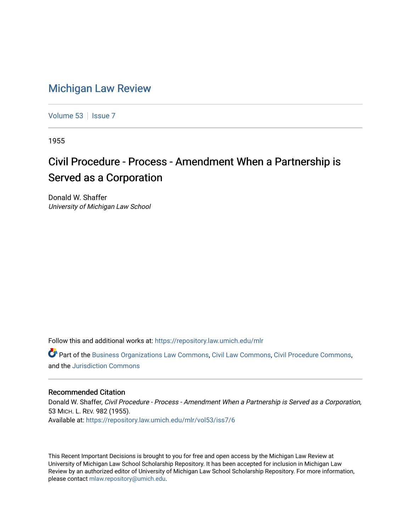## [Michigan Law Review](https://repository.law.umich.edu/mlr)

[Volume 53](https://repository.law.umich.edu/mlr/vol53) | [Issue 7](https://repository.law.umich.edu/mlr/vol53/iss7)

1955

## Civil Procedure - Process - Amendment When a Partnership is Served as a Corporation

Donald W. Shaffer University of Michigan Law School

Follow this and additional works at: [https://repository.law.umich.edu/mlr](https://repository.law.umich.edu/mlr?utm_source=repository.law.umich.edu%2Fmlr%2Fvol53%2Fiss7%2F6&utm_medium=PDF&utm_campaign=PDFCoverPages) 

Part of the [Business Organizations Law Commons](http://network.bepress.com/hgg/discipline/900?utm_source=repository.law.umich.edu%2Fmlr%2Fvol53%2Fiss7%2F6&utm_medium=PDF&utm_campaign=PDFCoverPages), [Civil Law Commons,](http://network.bepress.com/hgg/discipline/835?utm_source=repository.law.umich.edu%2Fmlr%2Fvol53%2Fiss7%2F6&utm_medium=PDF&utm_campaign=PDFCoverPages) [Civil Procedure Commons](http://network.bepress.com/hgg/discipline/584?utm_source=repository.law.umich.edu%2Fmlr%2Fvol53%2Fiss7%2F6&utm_medium=PDF&utm_campaign=PDFCoverPages), and the [Jurisdiction Commons](http://network.bepress.com/hgg/discipline/850?utm_source=repository.law.umich.edu%2Fmlr%2Fvol53%2Fiss7%2F6&utm_medium=PDF&utm_campaign=PDFCoverPages)

## Recommended Citation

Donald W. Shaffer, Civil Procedure - Process - Amendment When a Partnership is Served as a Corporation, 53 MICH. L. REV. 982 (1955). Available at: [https://repository.law.umich.edu/mlr/vol53/iss7/6](https://repository.law.umich.edu/mlr/vol53/iss7/6?utm_source=repository.law.umich.edu%2Fmlr%2Fvol53%2Fiss7%2F6&utm_medium=PDF&utm_campaign=PDFCoverPages)

This Recent Important Decisions is brought to you for free and open access by the Michigan Law Review at University of Michigan Law School Scholarship Repository. It has been accepted for inclusion in Michigan Law Review by an authorized editor of University of Michigan Law School Scholarship Repository. For more information, please contact [mlaw.repository@umich.edu.](mailto:mlaw.repository@umich.edu)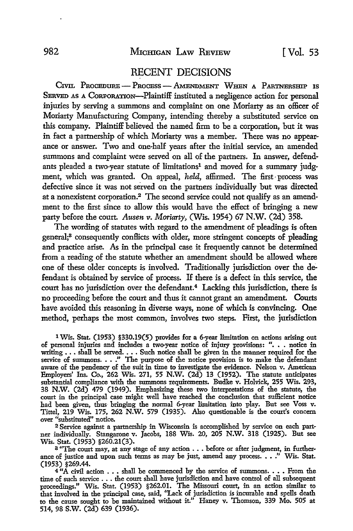## RECENT DECISIONS

CIVIL PROCEDURE - PROCESS - AMENDMENT WHEN A PARTNERSHIP IS SERVED AS A CoRPORATION-Plaintiff instituted a negligence action for personal injuries by serving a summons and complaint on one Moriarty as an officer of Moriarty Manufacturing Company, intending thereby a substituted service on this company. Plaintiff believed the named firm to be a corporation, but it was in fact a partnership of which Moriarty was a member. There was no appearance or answer. Two and one-half years after the initial service, an amended summons and complaint were served on all of the partners. In answer, defendants pleaded a two-year statute of limitations<sup>1</sup> and moved for a summary judgment, which was granted. On appeal, *held,* affirmed. The first• process was defective since it was not served on the partners individually but was directed at a nonexistent corporation.2 The second service could not qualify as an amendment to the first since to allow this would have the effect of bringing a new party before the court. *Ausen v. Moriarty,* (Wis. 1954) 67 N.W. (2d) 358.

The wording of statutes with regard to the amendment of pleadings is often general;3 consequently confficts with older, more stringent concepts of pleading and practice arise. As in the principal case it frequently cannot be determined from a reading of the statute whether an amendment should be allowed where one of these older concepts is involved. Traditionally jurisdiction over the defendant is obtained by service of process. H there is a defect in this service, the court has no jurisdiction over the defendant.<sup>4</sup> Lacking this jurisdiction, there is no proceeding before the court and thus it cannot grant an amendment. Courts have avoided this reasoning in diverse ways, none of which is convincing. One method, perhaps the most common, involves two steps. First, the jurisdiction

1 Wis. Stat. (1953) §330.19(5) provides for a 6-year limitation on actions arising out of personal injuries and includes a two-year notice of injury provisions: " ••. notice in writing . . . shall be served. . . . Such notice shall be given in the manner required for the service of summons. • • ." The purpose of the notice provision is to make the defendant aware of the pendency of the suit in time to investigate the evidence. Nelson v. American Employers' Ins. Co., 262 Wis. 271, 55 N.W. (2d) 13 (1952). The statute anticipates substantial compliance with the summons requirements. Budke v. Holvick, 255 Wis. 293, 38 N.W. (2d) 479 (1949). Emphasizing these two interpretations of the statute, the court in the principal case might well have reached the conclusion that sufficient notice had been given, thus bringing the normal 6-year limitation into play. But see Voss v. Tittel, 219 Wis. 175, 262 **N.W.** 579 (1935). Also questionable is the court's concern over "substituted" notice.

2 Service against a partnership in Wisconsin is accomplished by service on each partner individually. Stangarone v. Jacobs, 188 Wis. 20, 205 N.W. 318 (1925). But see

<sup>8</sup> "The court may, at any stage of any action  $\ldots$  before or after judgment, in furtherance of justice and upon such terms as may be just, amend any process. . . ." Wis. Stat. (1953) §269.44.

 $4$ <sup>"A</sup> civil action  $\ldots$  shall be commenced by the service of summons.  $\ldots$  From the time of such service  $\ldots$  the court shall have jurisdiction and have control of all subsequent proceedings." Wis. Stat. (1953) §262.01. The Missouri court, in an action similar to that involved in the principal case, said, "Lack of jurisdiction is incurable and spells death to the cause sought to be maintained without it." Haney v. Thomson, 339 Mo. 505 at 514, 98 **s.w.** (2d) 639 (1936).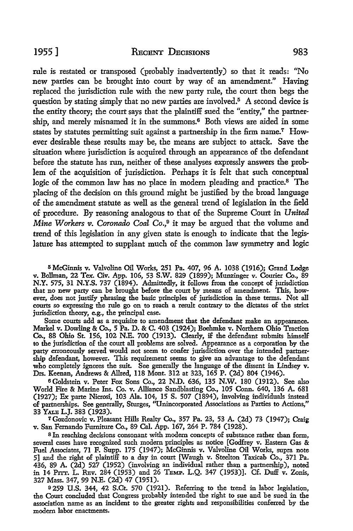rule is restated or transposed (probably inadvertently) so that it reads: ''No new parties can be brought into court by way of an amendment." Having replaced the jurisdiction rule with the new party rule, the court then begs the question by stating simply that no new parties are involved.<sup>5</sup> A second device is the entity theory; the court says that the plaintiff sued the "entity," the partnership, and merely misnamed it in the summons.<sup>6</sup> Both views are aided in some states by statutes permitting suit against a partnership in the firm name.<sup>7</sup> However desirable these results may be, the means are subject to attack. Save the situation where jurisdiction is acquired through an appearance of the defendant before the statute has run, neither of these analyses expressly answers the problem of the acquisition of jurisdiction. Perhaps it is felt that such conceptual logic of the common law has no place in modem pleading and practice.8 The placing of the decision on this ground might be justified by the broad language of the amendment statute as well as the general trend of legislation in the field of procedure. By reasoning analogous to that of the Supreme Court in *United Mine Workers v. Coronado Coal Co.*,<sup>9</sup> it may be argued that the volume and trend of this legislation in any given state is enough to indicate that the legislature has attempted to supplant much of the common law symmetry and logic

<sup>5</sup>McGinnis v. Valvoline Oil Works, 251 Pa. 407, 96 A. 1038 (1916); Grand Lodge v. Bollman, 22 Tex. Civ. App. 106, 53 S.W. 829 (1899); Munzinger v. Courier Co., 89 **N.Y.** 575, 31 **N.Y.S.** 737 (1894). Admittedly, **it** follows from the concept of jurisdiction that no new party can be brought before the court by means of amendment. This, however, does not justify phrasing the basic principles of jurisdiction in these terms. Not all courts so expressing the rule go on to reach a result contrary to the dictates of the strict jurisdiction theory, e.g., the principal case.

Some courts add as a requisite to amendment that the defendant make an appearance. Markel v. Dowling & Co., 5 Pa. D. & C. 403 (1924); Boehmke v. Northern Ohio Traction Co., 88 Ohio St. 156, 102 N.E. 700 (1913). Clearly, if the defendant submits himself to the jurisdiction of the court all problems are solved. Appearance as a corporation by the party erroneously served would not seem to confer jurisdiction over the intended partnership defendant, however. This requirement seems to give an advantage to the defendant who completely ignores the suit. See generally the language of the dissent in Lindsey v. Drs. Keenan, Andrews & Allred, 118 Mont. 312 at 323, 165 P. (2d) 804 (1946).

<sup>6</sup>Goldstein v. Peter Fox Sons Co., 22 N.D. 636, 135 N.W. 180 (1912). See also World Fire & Marine Ins. Co. v. Alliance Sandblasting Co., 105 Conn. 640, 136 A. 681 (1927); Ex parte Nicrosi, 103 Ala. 104, 15 S. 507 (1894), involving individuals instead of partnerships. See generally, Sturges, "Unincorporated Associations as Parties to Actions," 33 YALB L.J. 383 (1923).

<sup>7</sup>Gozdonovic v. Pleasant Hills Realty Co., 357 Pa. 23, 53 A. (2d) 73 (1947); Craig v. San Fernando Furniture Co., 89 Cal. App. 167, 264 P. 784 (1928).

s In reaching decisions consonant with modern concepts of substance rather than form, several cases have recognized such modem principles as notice [Godfrey v. Eastern Gas & Fuel Associates, 71 F. Supp. 175 (1947); McGinnis v. Valvoline Oil Works, supra note 5] and the right of plaintiff to a day in court [Waugh v. Steelton Taxicab Co., 371 Pa. 436, 89 A. (2d) 527 (1952) (involving an individual rather than a partnership), noted in 14 Pl'IT. L. REv. 284 (1953) and 26 TEMP. L.Q. 347 (1953)]. Cf. Duff v. Zonis, 327 Mass. 347, 99 N.E. (2d) 47 (1951).

<sup>9</sup>259 U.S. 344, 42 S.Ct. 570 (1921). Referring to the trend in labor legislation, the Court concluded that Congress probably intended the right to sue and be sued in the association name as an incident to the greater rights and responsibilities conferred by the modern labor enactments.